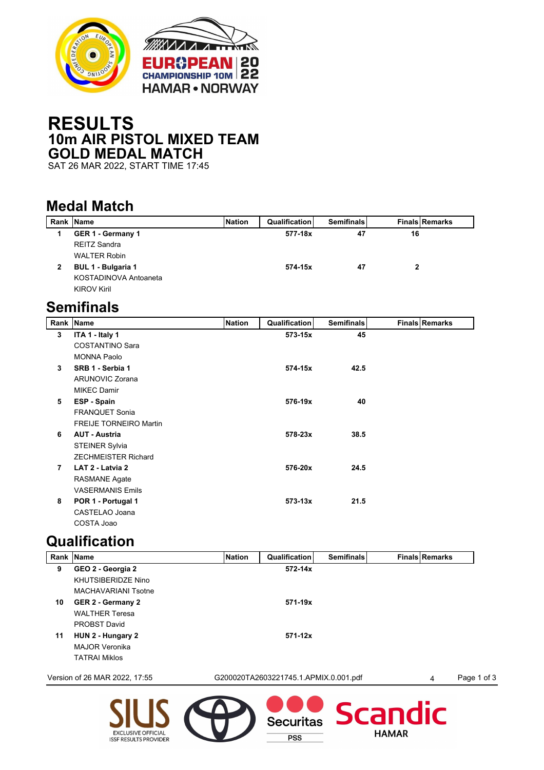

## **RESULTS 10m AIR PISTOL MIXED TEAM GOLD MEDAL MATCH**

SAT 26 MAR 2022, START TIME 17:45

## **Medal Match**

| <b>Rank Name</b>      | <b>Nation</b> | <b>Qualification</b> | <b>Semifinals</b> | <b>Finals Remarks</b> |  |
|-----------------------|---------------|----------------------|-------------------|-----------------------|--|
| GER 1 - Germany 1     |               | 577-18x              | 47                | 16                    |  |
| <b>REITZ Sandra</b>   |               |                      |                   |                       |  |
| <b>WALTER Robin</b>   |               |                      |                   |                       |  |
| BUL 1 - Bulgaria 1    |               | 574-15x              | 47                | 2                     |  |
| KOSTADINOVA Antoaneta |               |                      |                   |                       |  |
| <b>KIROV Kiril</b>    |               |                      |                   |                       |  |
|                       |               |                      |                   |                       |  |

## **Semifinals**

|                | Rank Name                     | <b>Nation</b> | Qualification | <b>Semifinals</b> | <b>Finals Remarks</b> |
|----------------|-------------------------------|---------------|---------------|-------------------|-----------------------|
| 3              | ITA 1 - Italy 1               |               | 573-15x       | 45                |                       |
|                | <b>COSTANTINO Sara</b>        |               |               |                   |                       |
|                | <b>MONNA Paolo</b>            |               |               |                   |                       |
| 3              | SRB 1 - Serbia 1              |               | 574-15x       | 42.5              |                       |
|                | <b>ARUNOVIC Zorana</b>        |               |               |                   |                       |
|                | <b>MIKEC Damir</b>            |               |               |                   |                       |
| 5              | ESP - Spain                   |               | 576-19x       | 40                |                       |
|                | <b>FRANQUET Sonia</b>         |               |               |                   |                       |
|                | <b>FREIJE TORNEIRO Martin</b> |               |               |                   |                       |
| 6              | <b>AUT - Austria</b>          |               | 578-23x       | 38.5              |                       |
|                | <b>STEINER Sylvia</b>         |               |               |                   |                       |
|                | <b>ZECHMEISTER Richard</b>    |               |               |                   |                       |
| $\overline{7}$ | LAT 2 - Latvia 2              |               | 576-20x       | 24.5              |                       |
|                | <b>RASMANE Agate</b>          |               |               |                   |                       |
|                | <b>VASERMANIS Emils</b>       |               |               |                   |                       |
| 8              | POR 1 - Portugal 1            |               | $573 - 13x$   | 21.5              |                       |
|                | CASTELAO Joana                |               |               |                   |                       |
|                | COSTA Joao                    |               |               |                   |                       |

## **Qualification**

**EXCLUSIVE OFFICIAL** 

**ISSF RESULTS PROVIDER** 

|    | Rank Name                     | <b>Nation</b> | Qualification                         | <b>Semifinals</b> | <b>Finals Remarks</b> |             |
|----|-------------------------------|---------------|---------------------------------------|-------------------|-----------------------|-------------|
| 9  | GEO 2 - Georgia 2             |               | $572 - 14x$                           |                   |                       |             |
|    | <b>KHUTSIBERIDZE Nino</b>     |               |                                       |                   |                       |             |
|    | <b>MACHAVARIANI Tsotne</b>    |               |                                       |                   |                       |             |
| 10 | GER 2 - Germany 2             |               | 571-19x                               |                   |                       |             |
|    | <b>WALTHER Teresa</b>         |               |                                       |                   |                       |             |
|    | <b>PROBST David</b>           |               |                                       |                   |                       |             |
| 11 | HUN 2 - Hungary 2             |               | $571 - 12x$                           |                   |                       |             |
|    | <b>MAJOR Veronika</b>         |               |                                       |                   |                       |             |
|    | <b>TATRAI Miklos</b>          |               |                                       |                   |                       |             |
|    | Version of 26 MAR 2022, 17:55 |               | G200020TA2603221745.1.APMIX.0.001.pdf |                   | 4                     | Page 1 of 3 |
|    |                               |               |                                       | Securitas Scandic |                       |             |

 $\overline{PSS}$ 

**HAMAR**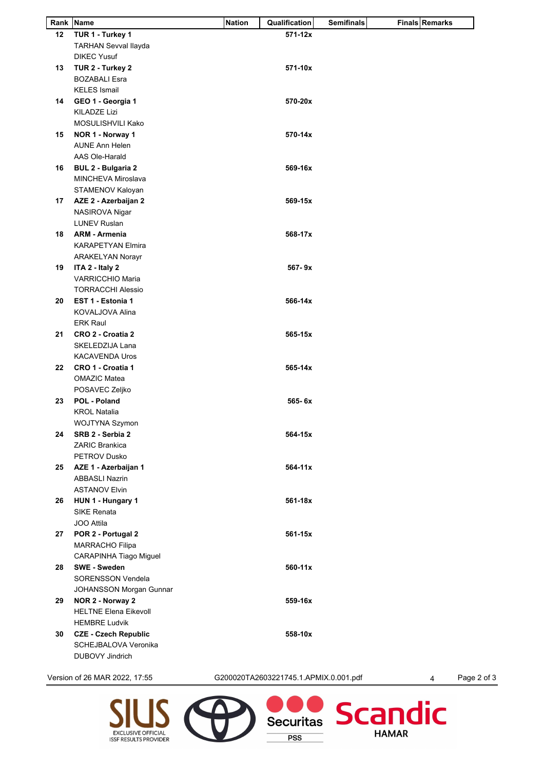|    | Rank Name                    | <b>Nation</b> | Qualification | <b>Semifinals</b> | <b>Finals Remarks</b> |
|----|------------------------------|---------------|---------------|-------------------|-----------------------|
| 12 | TUR 1 - Turkey 1             |               | 571-12x       |                   |                       |
|    | <b>TARHAN Sevval llayda</b>  |               |               |                   |                       |
|    | <b>DIKEC Yusuf</b>           |               |               |                   |                       |
| 13 | TUR 2 - Turkey 2             |               | 571-10x       |                   |                       |
|    | <b>BOZABALI Esra</b>         |               |               |                   |                       |
|    | <b>KELES</b> Ismail          |               |               |                   |                       |
|    |                              |               |               |                   |                       |
| 14 | GEO 1 - Georgia 1            |               | 570-20x       |                   |                       |
|    | <b>KILADZE Lizi</b>          |               |               |                   |                       |
|    | MOSULISHVILI Kako            |               |               |                   |                       |
| 15 | NOR 1 - Norway 1             |               | 570-14x       |                   |                       |
|    | <b>AUNE Ann Helen</b>        |               |               |                   |                       |
|    | AAS Ole-Harald               |               |               |                   |                       |
| 16 | <b>BUL 2 - Bulgaria 2</b>    |               | 569-16x       |                   |                       |
|    | MINCHEVA Miroslava           |               |               |                   |                       |
|    | STAMENOV Kaloyan             |               |               |                   |                       |
| 17 | AZE 2 - Azerbaijan 2         |               | 569-15x       |                   |                       |
|    | NASIROVA Nigar               |               |               |                   |                       |
|    |                              |               |               |                   |                       |
|    | <b>LUNEV Ruslan</b>          |               |               |                   |                       |
| 18 | <b>ARM - Armenia</b>         |               | 568-17x       |                   |                       |
|    | <b>KARAPETYAN Elmira</b>     |               |               |                   |                       |
|    | <b>ARAKELYAN Norayr</b>      |               |               |                   |                       |
| 19 | ITA 2 - Italy 2              |               | $567 - 9x$    |                   |                       |
|    | <b>VARRICCHIO Maria</b>      |               |               |                   |                       |
|    | <b>TORRACCHI Alessio</b>     |               |               |                   |                       |
| 20 | EST 1 - Estonia 1            |               | 566-14x       |                   |                       |
|    | KOVALJOVA Alina              |               |               |                   |                       |
|    | <b>ERK Raul</b>              |               |               |                   |                       |
| 21 | CRO 2 - Croatia 2            |               | 565-15x       |                   |                       |
|    |                              |               |               |                   |                       |
|    | SKELEDZIJA Lana              |               |               |                   |                       |
|    | <b>KACAVENDA Uros</b>        |               |               |                   |                       |
| 22 | CRO 1 - Croatia 1            |               | 565-14x       |                   |                       |
|    | <b>OMAZIC Matea</b>          |               |               |                   |                       |
|    | POSAVEC Zeljko               |               |               |                   |                       |
| 23 | POL - Poland                 |               | 565-6x        |                   |                       |
|    | <b>KROL Natalia</b>          |               |               |                   |                       |
|    | WOJTYNA Szymon               |               |               |                   |                       |
| 24 | SRB 2 - Serbia 2             |               | 564-15x       |                   |                       |
|    | <b>ZARIC Brankica</b>        |               |               |                   |                       |
|    | <b>PETROV Dusko</b>          |               |               |                   |                       |
|    |                              |               |               |                   |                       |
|    | 25 AZE 1 - Azerbaijan 1      |               | 564-11x       |                   |                       |
|    | <b>ABBASLI Nazrin</b>        |               |               |                   |                       |
|    | <b>ASTANOV Elvin</b>         |               |               |                   |                       |
| 26 | HUN 1 - Hungary 1            |               | 561-18x       |                   |                       |
|    | <b>SIKE Renata</b>           |               |               |                   |                       |
|    | JOO Attila                   |               |               |                   |                       |
| 27 | POR 2 - Portugal 2           |               | 561-15x       |                   |                       |
|    | <b>MARRACHO Filipa</b>       |               |               |                   |                       |
|    | CARAPINHA Tiago Miguel       |               |               |                   |                       |
| 28 | <b>SWE - Sweden</b>          |               | 560-11x       |                   |                       |
|    | <b>SORENSSON Vendela</b>     |               |               |                   |                       |
|    |                              |               |               |                   |                       |
|    | JOHANSSON Morgan Gunnar      |               |               |                   |                       |
| 29 | NOR 2 - Norway 2             |               | 559-16x       |                   |                       |
|    | <b>HELTNE Elena Eikevoll</b> |               |               |                   |                       |
|    | <b>HEMBRE Ludvik</b>         |               |               |                   |                       |
| 30 | <b>CZE - Czech Republic</b>  |               | 558-10x       |                   |                       |
|    |                              |               |               |                   |                       |
|    | SCHEJBALOVA Veronika         |               |               |                   |                       |

EXCLUSIVE OFFICIAL<br>ISSF RESULTS PROVIDER

Version of 26 MAR 2022, 17:55 G200020TA2603221745.1.APMIX.0.001.pdf 4 Page 2 of 3

Securitas

**PSS** 

Scandic

**HAMAR**